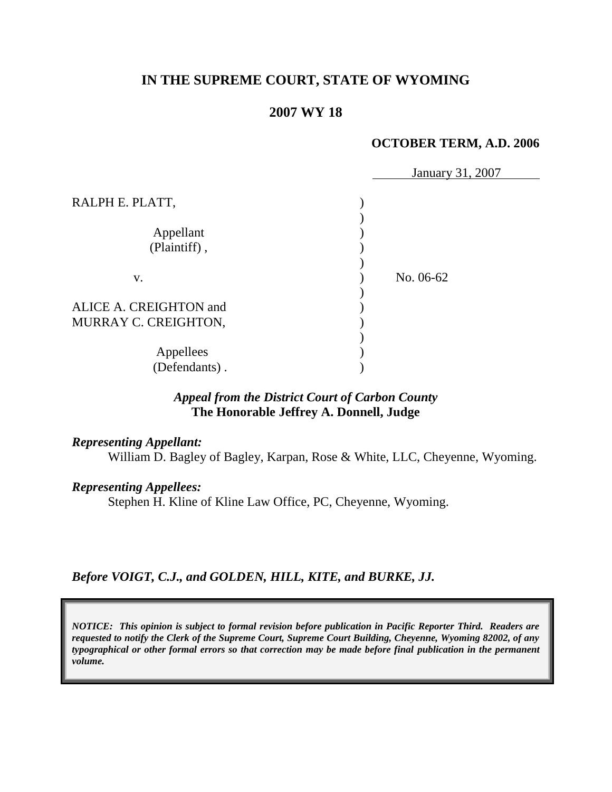# **IN THE SUPREME COURT, STATE OF WYOMING**

# **2007 WY 18**

## **OCTOBER TERM, A.D. 2006**

|                                                | January 31, 2007 |
|------------------------------------------------|------------------|
| RALPH E. PLATT,                                |                  |
| Appellant<br>(Plaintiff),                      |                  |
| V.                                             | No. 06-62        |
| ALICE A. CREIGHTON and<br>MURRAY C. CREIGHTON, |                  |
| Appellees<br>(Defendants).                     |                  |

# *Appeal from the District Court of Carbon County* **The Honorable Jeffrey A. Donnell, Judge**

#### *Representing Appellant:*

William D. Bagley of Bagley, Karpan, Rose & White, LLC, Cheyenne, Wyoming.

#### *Representing Appellees:*

Stephen H. Kline of Kline Law Office, PC, Cheyenne, Wyoming.

*Before VOIGT, C.J., and GOLDEN, HILL, KITE, and BURKE, JJ.*

*NOTICE: This opinion is subject to formal revision before publication in Pacific Reporter Third. Readers are requested to notify the Clerk of the Supreme Court, Supreme Court Building, Cheyenne, Wyoming 82002, of any typographical or other formal errors so that correction may be made before final publication in the permanent volume.*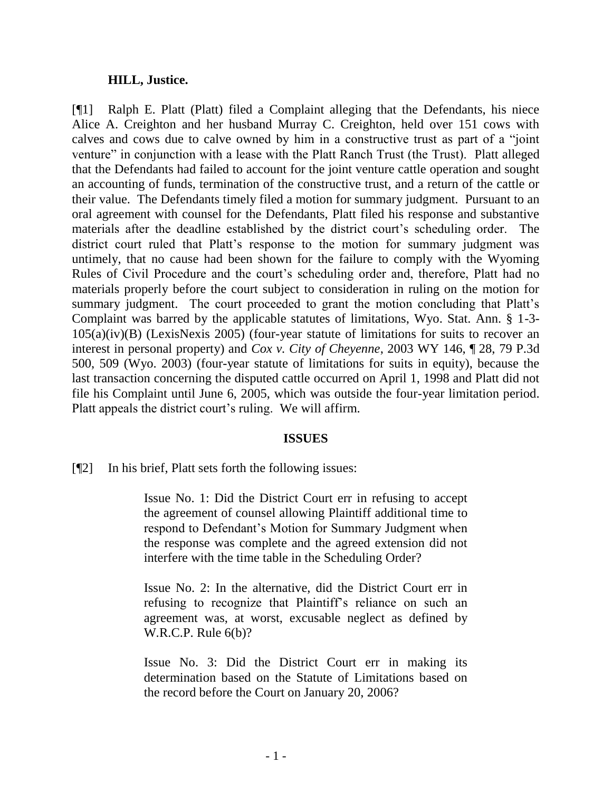## **HILL, Justice.**

[¶1] Ralph E. Platt (Platt) filed a Complaint alleging that the Defendants, his niece Alice A. Creighton and her husband Murray C. Creighton, held over 151 cows with calves and cows due to calve owned by him in a constructive trust as part of a "joint venture" in conjunction with a lease with the Platt Ranch Trust (the Trust). Platt alleged that the Defendants had failed to account for the joint venture cattle operation and sought an accounting of funds, termination of the constructive trust, and a return of the cattle or their value. The Defendants timely filed a motion for summary judgment. Pursuant to an oral agreement with counsel for the Defendants, Platt filed his response and substantive materials after the deadline established by the district court's scheduling order. The district court ruled that Platt's response to the motion for summary judgment was untimely, that no cause had been shown for the failure to comply with the Wyoming Rules of Civil Procedure and the court's scheduling order and, therefore, Platt had no materials properly before the court subject to consideration in ruling on the motion for summary judgment. The court proceeded to grant the motion concluding that Platt's Complaint was barred by the applicable statutes of limitations, Wyo. Stat. Ann. § 1-3- 105(a)(iv)(B) (LexisNexis 2005) (four-year statute of limitations for suits to recover an interest in personal property) and *Cox v. City of Cheyenne*, 2003 WY 146, ¶ 28, 79 P.3d 500, 509 (Wyo. 2003) (four-year statute of limitations for suits in equity), because the last transaction concerning the disputed cattle occurred on April 1, 1998 and Platt did not file his Complaint until June 6, 2005, which was outside the four-year limitation period. Platt appeals the district court's ruling. We will affirm.

### **ISSUES**

[¶2] In his brief, Platt sets forth the following issues:

Issue No. 1: Did the District Court err in refusing to accept the agreement of counsel allowing Plaintiff additional time to respond to Defendant's Motion for Summary Judgment when the response was complete and the agreed extension did not interfere with the time table in the Scheduling Order?

Issue No. 2: In the alternative, did the District Court err in refusing to recognize that Plaintiff's reliance on such an agreement was, at worst, excusable neglect as defined by W.R.C.P. Rule 6(b)?

Issue No. 3: Did the District Court err in making its determination based on the Statute of Limitations based on the record before the Court on January 20, 2006?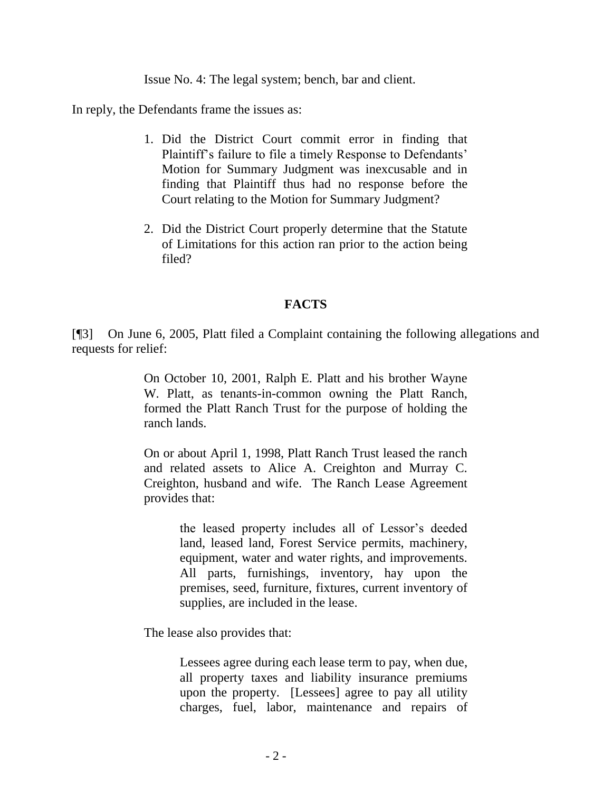Issue No. 4: The legal system; bench, bar and client.

In reply, the Defendants frame the issues as:

- 1. Did the District Court commit error in finding that Plaintiff's failure to file a timely Response to Defendants' Motion for Summary Judgment was inexcusable and in finding that Plaintiff thus had no response before the Court relating to the Motion for Summary Judgment?
- 2. Did the District Court properly determine that the Statute of Limitations for this action ran prior to the action being filed?

## **FACTS**

[¶3] On June 6, 2005, Platt filed a Complaint containing the following allegations and requests for relief:

> On October 10, 2001, Ralph E. Platt and his brother Wayne W. Platt, as tenants-in-common owning the Platt Ranch, formed the Platt Ranch Trust for the purpose of holding the ranch lands.

> On or about April 1, 1998, Platt Ranch Trust leased the ranch and related assets to Alice A. Creighton and Murray C. Creighton, husband and wife. The Ranch Lease Agreement provides that:

> > the leased property includes all of Lessor's deeded land, leased land, Forest Service permits, machinery, equipment, water and water rights, and improvements. All parts, furnishings, inventory, hay upon the premises, seed, furniture, fixtures, current inventory of supplies, are included in the lease.

The lease also provides that:

Lessees agree during each lease term to pay, when due, all property taxes and liability insurance premiums upon the property. [Lessees] agree to pay all utility charges, fuel, labor, maintenance and repairs of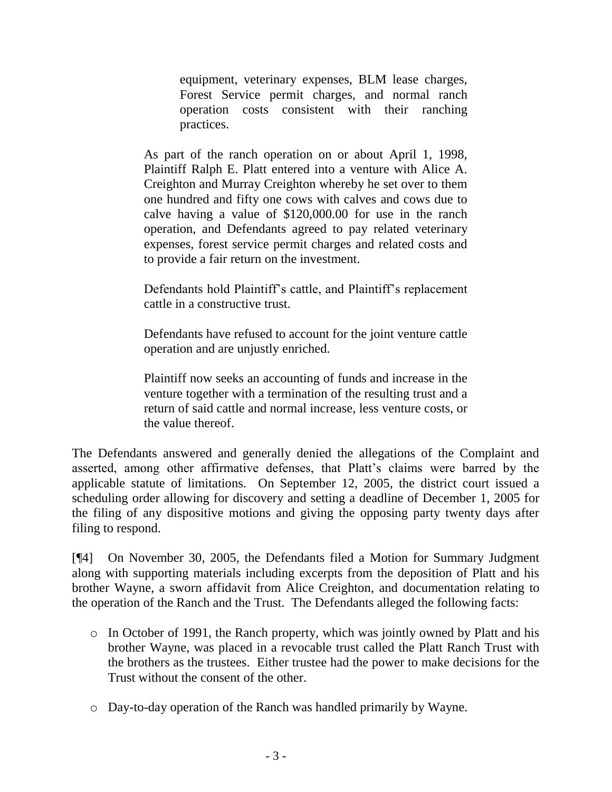equipment, veterinary expenses, BLM lease charges, Forest Service permit charges, and normal ranch operation costs consistent with their ranching practices.

As part of the ranch operation on or about April 1, 1998, Plaintiff Ralph E. Platt entered into a venture with Alice A. Creighton and Murray Creighton whereby he set over to them one hundred and fifty one cows with calves and cows due to calve having a value of \$120,000.00 for use in the ranch operation, and Defendants agreed to pay related veterinary expenses, forest service permit charges and related costs and to provide a fair return on the investment.

Defendants hold Plaintiff's cattle, and Plaintiff's replacement cattle in a constructive trust.

Defendants have refused to account for the joint venture cattle operation and are unjustly enriched.

Plaintiff now seeks an accounting of funds and increase in the venture together with a termination of the resulting trust and a return of said cattle and normal increase, less venture costs, or the value thereof.

The Defendants answered and generally denied the allegations of the Complaint and asserted, among other affirmative defenses, that Platt's claims were barred by the applicable statute of limitations. On September 12, 2005, the district court issued a scheduling order allowing for discovery and setting a deadline of December 1, 2005 for the filing of any dispositive motions and giving the opposing party twenty days after filing to respond.

[¶4] On November 30, 2005, the Defendants filed a Motion for Summary Judgment along with supporting materials including excerpts from the deposition of Platt and his brother Wayne, a sworn affidavit from Alice Creighton, and documentation relating to the operation of the Ranch and the Trust. The Defendants alleged the following facts:

- o In October of 1991, the Ranch property, which was jointly owned by Platt and his brother Wayne, was placed in a revocable trust called the Platt Ranch Trust with the brothers as the trustees. Either trustee had the power to make decisions for the Trust without the consent of the other.
- o Day-to-day operation of the Ranch was handled primarily by Wayne.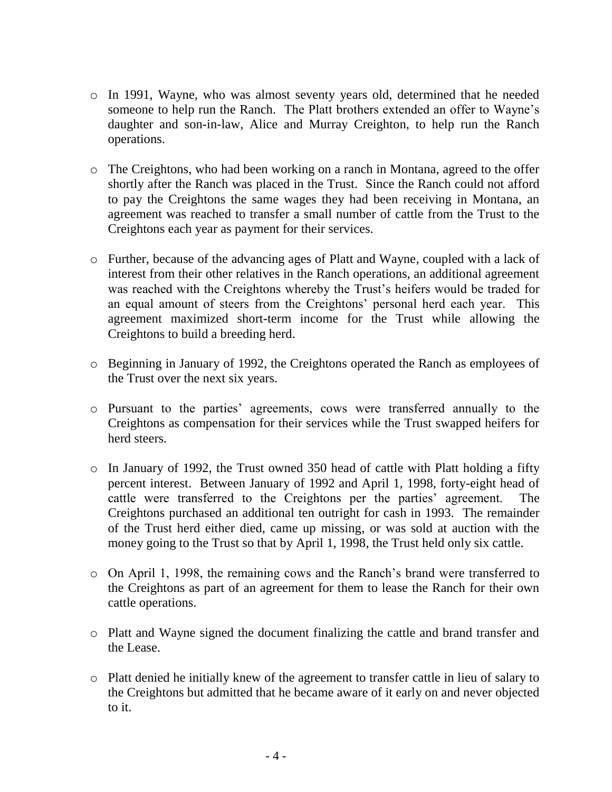- o In 1991, Wayne, who was almost seventy years old, determined that he needed someone to help run the Ranch. The Platt brothers extended an offer to Wayne's daughter and son-in-law, Alice and Murray Creighton, to help run the Ranch operations.
- o The Creightons, who had been working on a ranch in Montana, agreed to the offer shortly after the Ranch was placed in the Trust. Since the Ranch could not afford to pay the Creightons the same wages they had been receiving in Montana, an agreement was reached to transfer a small number of cattle from the Trust to the Creightons each year as payment for their services.
- o Further, because of the advancing ages of Platt and Wayne, coupled with a lack of interest from their other relatives in the Ranch operations, an additional agreement was reached with the Creightons whereby the Trust's heifers would be traded for an equal amount of steers from the Creightons' personal herd each year. This agreement maximized short-term income for the Trust while allowing the Creightons to build a breeding herd.
- o Beginning in January of 1992, the Creightons operated the Ranch as employees of the Trust over the next six years.
- o Pursuant to the parties' agreements, cows were transferred annually to the Creightons as compensation for their services while the Trust swapped heifers for herd steers.
- o In January of 1992, the Trust owned 350 head of cattle with Platt holding a fifty percent interest. Between January of 1992 and April 1, 1998, forty-eight head of cattle were transferred to the Creightons per the parties' agreement. The Creightons purchased an additional ten outright for cash in 1993. The remainder of the Trust herd either died, came up missing, or was sold at auction with the money going to the Trust so that by April 1, 1998, the Trust held only six cattle.
- o On April 1, 1998, the remaining cows and the Ranch's brand were transferred to the Creightons as part of an agreement for them to lease the Ranch for their own cattle operations.
- o Platt and Wayne signed the document finalizing the cattle and brand transfer and the Lease.
- o Platt denied he initially knew of the agreement to transfer cattle in lieu of salary to the Creightons but admitted that he became aware of it early on and never objected to it.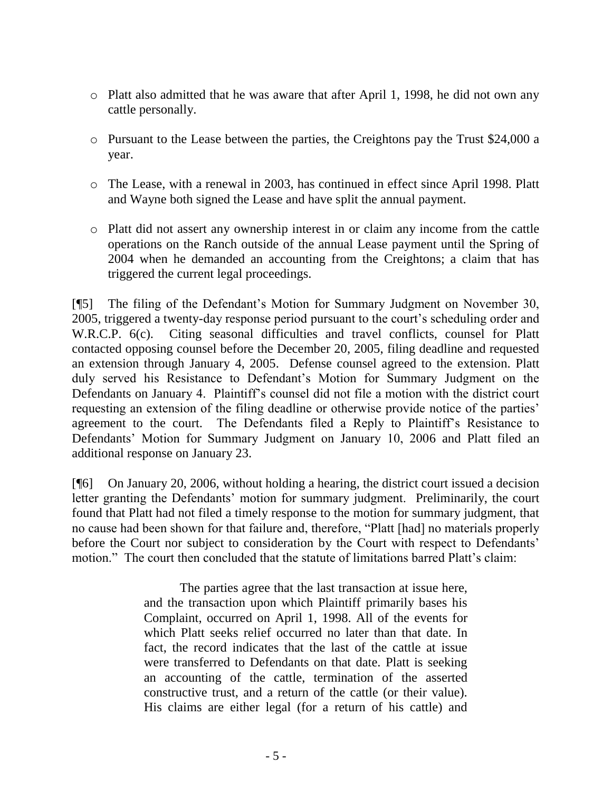- o Platt also admitted that he was aware that after April 1, 1998, he did not own any cattle personally.
- o Pursuant to the Lease between the parties, the Creightons pay the Trust \$24,000 a year.
- o The Lease, with a renewal in 2003, has continued in effect since April 1998. Platt and Wayne both signed the Lease and have split the annual payment.
- o Platt did not assert any ownership interest in or claim any income from the cattle operations on the Ranch outside of the annual Lease payment until the Spring of 2004 when he demanded an accounting from the Creightons; a claim that has triggered the current legal proceedings.

[¶5] The filing of the Defendant's Motion for Summary Judgment on November 30, 2005, triggered a twenty-day response period pursuant to the court's scheduling order and W.R.C.P. 6(c). Citing seasonal difficulties and travel conflicts, counsel for Platt contacted opposing counsel before the December 20, 2005, filing deadline and requested an extension through January 4, 2005. Defense counsel agreed to the extension. Platt duly served his Resistance to Defendant's Motion for Summary Judgment on the Defendants on January 4. Plaintiff's counsel did not file a motion with the district court requesting an extension of the filing deadline or otherwise provide notice of the parties' agreement to the court. The Defendants filed a Reply to Plaintiff's Resistance to Defendants' Motion for Summary Judgment on January 10, 2006 and Platt filed an additional response on January 23.

[¶6] On January 20, 2006, without holding a hearing, the district court issued a decision letter granting the Defendants' motion for summary judgment. Preliminarily, the court found that Platt had not filed a timely response to the motion for summary judgment, that no cause had been shown for that failure and, therefore, "Platt [had] no materials properly before the Court nor subject to consideration by the Court with respect to Defendants' motion." The court then concluded that the statute of limitations barred Platt's claim:

> The parties agree that the last transaction at issue here, and the transaction upon which Plaintiff primarily bases his Complaint, occurred on April 1, 1998. All of the events for which Platt seeks relief occurred no later than that date. In fact, the record indicates that the last of the cattle at issue were transferred to Defendants on that date. Platt is seeking an accounting of the cattle, termination of the asserted constructive trust, and a return of the cattle (or their value). His claims are either legal (for a return of his cattle) and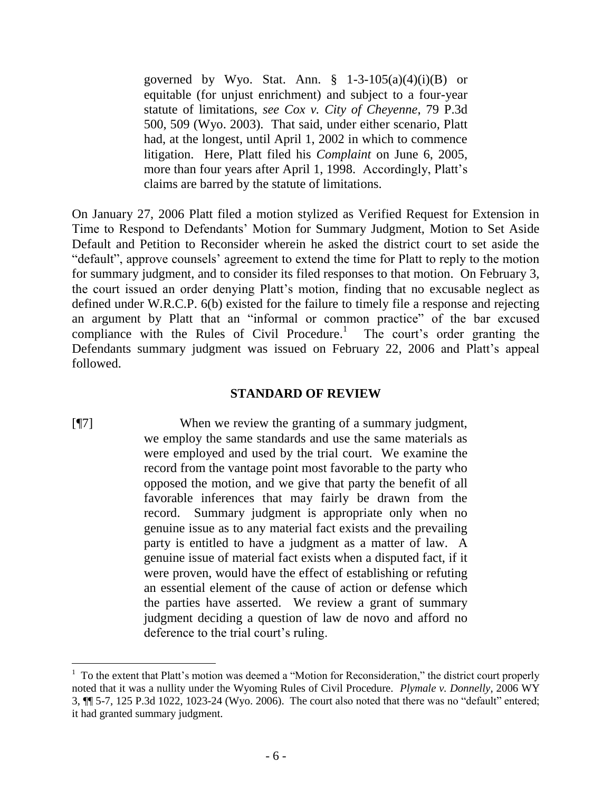governed by Wyo. Stat. Ann.  $\S$  1-3-105(a)(4)(i)(B) or equitable (for unjust enrichment) and subject to a four-year statute of limitations, *see Cox v. City of Cheyenne*, 79 P.3d 500, 509 (Wyo. 2003). That said, under either scenario, Platt had, at the longest, until April 1, 2002 in which to commence litigation. Here, Platt filed his *Complaint* on June 6, 2005, more than four years after April 1, 1998. Accordingly, Platt's claims are barred by the statute of limitations.

On January 27, 2006 Platt filed a motion stylized as Verified Request for Extension in Time to Respond to Defendants' Motion for Summary Judgment, Motion to Set Aside Default and Petition to Reconsider wherein he asked the district court to set aside the "default", approve counsels' agreement to extend the time for Platt to reply to the motion for summary judgment, and to consider its filed responses to that motion. On February 3, the court issued an order denying Platt's motion, finding that no excusable neglect as defined under W.R.C.P. 6(b) existed for the failure to timely file a response and rejecting an argument by Platt that an "informal or common practice" of the bar excused compliance with the Rules of Civil Procedure.<sup>1</sup> The court's order granting the Defendants summary judgment was issued on February 22, 2006 and Platt's appeal followed.

### **STANDARD OF REVIEW**

[¶7] When we review the granting of a summary judgment, we employ the same standards and use the same materials as were employed and used by the trial court. We examine the record from the vantage point most favorable to the party who opposed the motion, and we give that party the benefit of all favorable inferences that may fairly be drawn from the record. Summary judgment is appropriate only when no genuine issue as to any material fact exists and the prevailing party is entitled to have a judgment as a matter of law. A genuine issue of material fact exists when a disputed fact, if it were proven, would have the effect of establishing or refuting an essential element of the cause of action or defense which the parties have asserted. We review a grant of summary judgment deciding a question of law de novo and afford no deference to the trial court's ruling.

<sup>&</sup>lt;sup>1</sup> To the extent that Platt's motion was deemed a "Motion for Reconsideration," the district court properly noted that it was a nullity under the Wyoming Rules of Civil Procedure. *Plymale v. Donnelly*, 2006 WY 3, ¶¶ 5-7, 125 P.3d 1022, 1023-24 (Wyo. 2006). The court also noted that there was no "default" entered; it had granted summary judgment.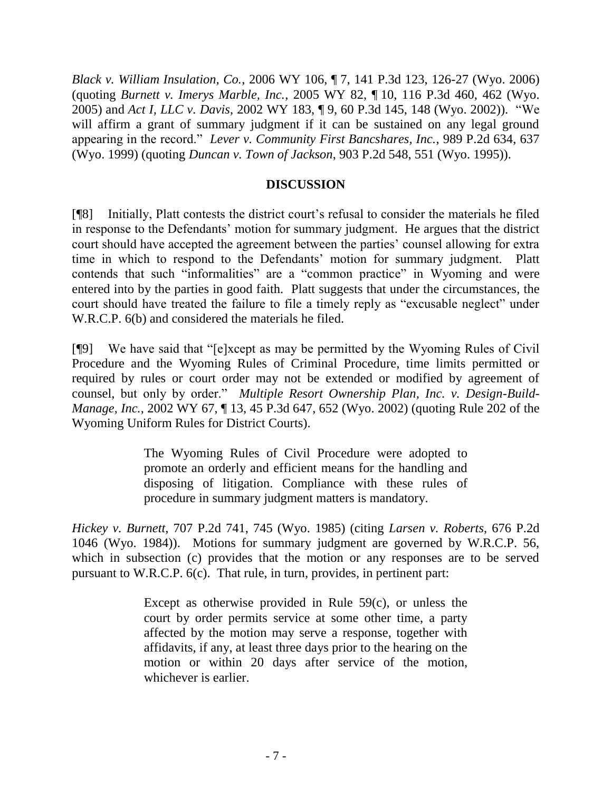*Black v. William Insulation, Co.*, 2006 WY 106, ¶ 7, 141 P.3d 123, 126-27 (Wyo. 2006) (quoting *Burnett v. Imerys Marble, Inc.*, 2005 WY 82, ¶ 10, 116 P.3d 460, 462 (Wyo. 2005) and *Act I, LLC v. Davis*, 2002 WY 183, ¶ 9, 60 P.3d 145, 148 (Wyo. 2002)). "We will affirm a grant of summary judgment if it can be sustained on any legal ground appearing in the record." *Lever v. Community First Bancshares, Inc.*, 989 P.2d 634, 637 (Wyo. 1999) (quoting *Duncan v. Town of Jackson*, 903 P.2d 548, 551 (Wyo. 1995)).

## **DISCUSSION**

[¶8] Initially, Platt contests the district court's refusal to consider the materials he filed in response to the Defendants' motion for summary judgment. He argues that the district court should have accepted the agreement between the parties' counsel allowing for extra time in which to respond to the Defendants' motion for summary judgment. Platt contends that such "informalities" are a "common practice" in Wyoming and were entered into by the parties in good faith. Platt suggests that under the circumstances, the court should have treated the failure to file a timely reply as "excusable neglect" under W.R.C.P. 6(b) and considered the materials he filed.

[¶9] We have said that "[e]xcept as may be permitted by the Wyoming Rules of Civil Procedure and the Wyoming Rules of Criminal Procedure, time limits permitted or required by rules or court order may not be extended or modified by agreement of counsel, but only by order." *Multiple Resort Ownership Plan, Inc. v. Design-Build-Manage, Inc.*, 2002 WY 67, ¶ 13, 45 P.3d 647, 652 (Wyo. 2002) (quoting Rule 202 of the Wyoming Uniform Rules for District Courts).

> The Wyoming Rules of Civil Procedure were adopted to promote an orderly and efficient means for the handling and disposing of litigation. Compliance with these rules of procedure in summary judgment matters is mandatory.

*Hickey v. Burnett*, 707 P.2d 741, 745 (Wyo. 1985) (citing *Larsen v. Roberts*, 676 P.2d 1046 (Wyo. 1984)). Motions for summary judgment are governed by W.R.C.P. 56, which in subsection (c) provides that the motion or any responses are to be served pursuant to W.R.C.P. 6(c). That rule, in turn, provides, in pertinent part:

> Except as otherwise provided in Rule 59(c), or unless the court by order permits service at some other time, a party affected by the motion may serve a response, together with affidavits, if any, at least three days prior to the hearing on the motion or within 20 days after service of the motion, whichever is earlier.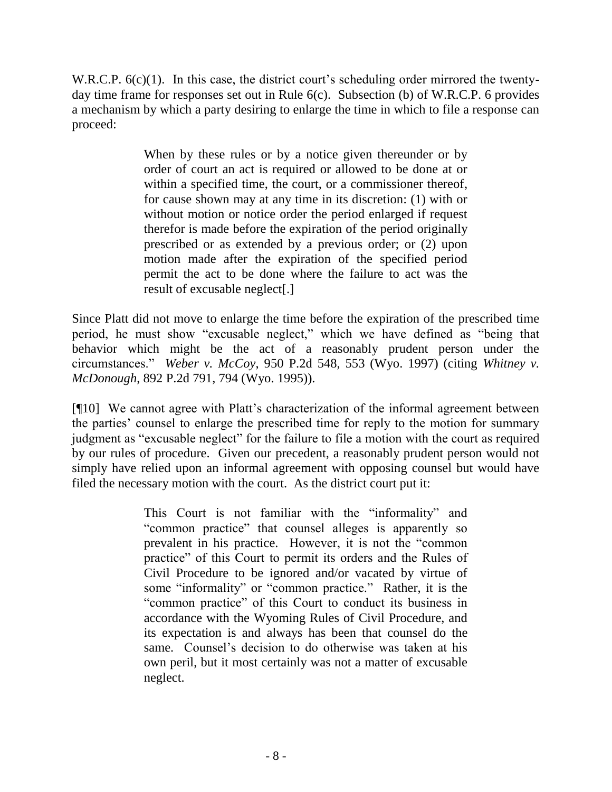W.R.C.P.  $6(c)(1)$ . In this case, the district court's scheduling order mirrored the twentyday time frame for responses set out in Rule 6(c). Subsection (b) of W.R.C.P. 6 provides a mechanism by which a party desiring to enlarge the time in which to file a response can proceed:

> When by these rules or by a notice given thereunder or by order of court an act is required or allowed to be done at or within a specified time, the court, or a commissioner thereof, for cause shown may at any time in its discretion: (1) with or without motion or notice order the period enlarged if request therefor is made before the expiration of the period originally prescribed or as extended by a previous order; or (2) upon motion made after the expiration of the specified period permit the act to be done where the failure to act was the result of excusable neglect[.]

Since Platt did not move to enlarge the time before the expiration of the prescribed time period, he must show "excusable neglect," which we have defined as "being that behavior which might be the act of a reasonably prudent person under the circumstances." *Weber v. McCoy*, 950 P.2d 548, 553 (Wyo. 1997) (citing *Whitney v. McDonough*, 892 P.2d 791, 794 (Wyo. 1995)).

[¶10] We cannot agree with Platt's characterization of the informal agreement between the parties' counsel to enlarge the prescribed time for reply to the motion for summary judgment as "excusable neglect" for the failure to file a motion with the court as required by our rules of procedure. Given our precedent, a reasonably prudent person would not simply have relied upon an informal agreement with opposing counsel but would have filed the necessary motion with the court. As the district court put it:

> This Court is not familiar with the "informality" and "common practice" that counsel alleges is apparently so prevalent in his practice. However, it is not the "common practice" of this Court to permit its orders and the Rules of Civil Procedure to be ignored and/or vacated by virtue of some "informality" or "common practice." Rather, it is the "common practice" of this Court to conduct its business in accordance with the Wyoming Rules of Civil Procedure, and its expectation is and always has been that counsel do the same. Counsel's decision to do otherwise was taken at his own peril, but it most certainly was not a matter of excusable neglect.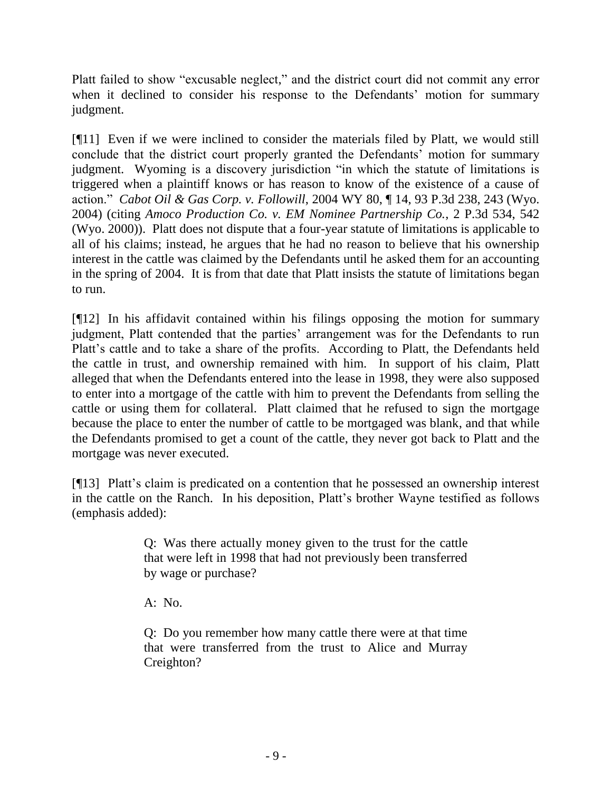Platt failed to show "excusable neglect," and the district court did not commit any error when it declined to consider his response to the Defendants' motion for summary judgment.

[¶11] Even if we were inclined to consider the materials filed by Platt, we would still conclude that the district court properly granted the Defendants' motion for summary judgment. Wyoming is a discovery jurisdiction "in which the statute of limitations is triggered when a plaintiff knows or has reason to know of the existence of a cause of action." *Cabot Oil & Gas Corp. v. Followill*, 2004 WY 80, ¶ 14, 93 P.3d 238, 243 (Wyo. 2004) (citing *Amoco Production Co. v. EM Nominee Partnership Co.*, 2 P.3d 534, 542 (Wyo. 2000)). Platt does not dispute that a four-year statute of limitations is applicable to all of his claims; instead, he argues that he had no reason to believe that his ownership interest in the cattle was claimed by the Defendants until he asked them for an accounting in the spring of 2004. It is from that date that Platt insists the statute of limitations began to run.

[¶12] In his affidavit contained within his filings opposing the motion for summary judgment, Platt contended that the parties' arrangement was for the Defendants to run Platt's cattle and to take a share of the profits. According to Platt, the Defendants held the cattle in trust, and ownership remained with him. In support of his claim, Platt alleged that when the Defendants entered into the lease in 1998, they were also supposed to enter into a mortgage of the cattle with him to prevent the Defendants from selling the cattle or using them for collateral. Platt claimed that he refused to sign the mortgage because the place to enter the number of cattle to be mortgaged was blank, and that while the Defendants promised to get a count of the cattle, they never got back to Platt and the mortgage was never executed.

[¶13] Platt's claim is predicated on a contention that he possessed an ownership interest in the cattle on the Ranch. In his deposition, Platt's brother Wayne testified as follows (emphasis added):

> Q: Was there actually money given to the trust for the cattle that were left in 1998 that had not previously been transferred by wage or purchase?

A: No.

Q: Do you remember how many cattle there were at that time that were transferred from the trust to Alice and Murray Creighton?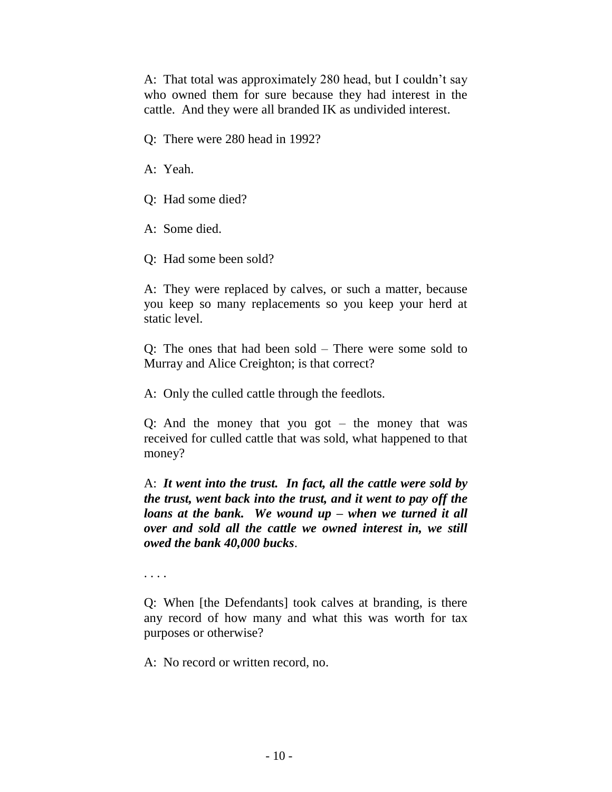A: That total was approximately 280 head, but I couldn't say who owned them for sure because they had interest in the cattle. And they were all branded IK as undivided interest.

Q: There were 280 head in 1992?

A: Yeah.

Q: Had some died?

A: Some died.

Q: Had some been sold?

A: They were replaced by calves, or such a matter, because you keep so many replacements so you keep your herd at static level.

Q: The ones that had been sold – There were some sold to Murray and Alice Creighton; is that correct?

A: Only the culled cattle through the feedlots.

Q: And the money that you got – the money that was received for culled cattle that was sold, what happened to that money?

A: *It went into the trust. In fact, all the cattle were sold by the trust, went back into the trust, and it went to pay off the loans at the bank. We wound up – when we turned it all over and sold all the cattle we owned interest in, we still owed the bank 40,000 bucks*.

. . . .

Q: When [the Defendants] took calves at branding, is there any record of how many and what this was worth for tax purposes or otherwise?

A: No record or written record, no.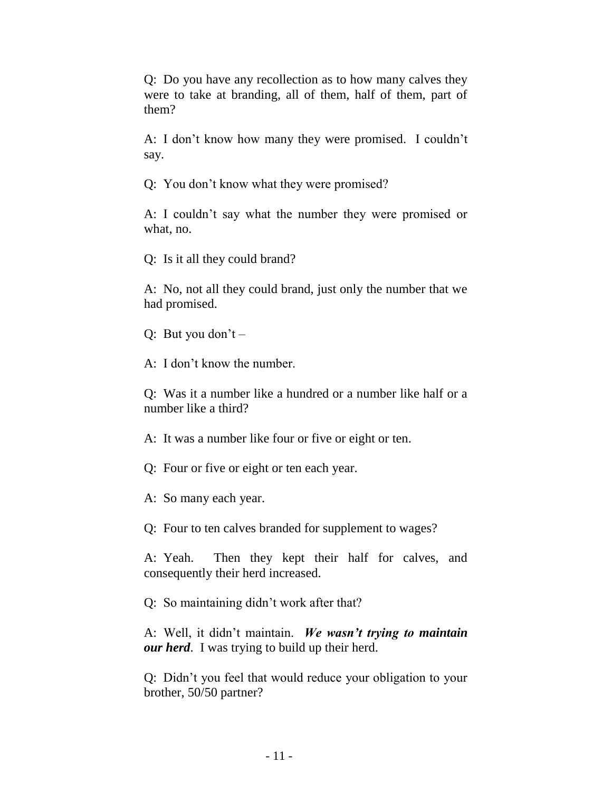Q: Do you have any recollection as to how many calves they were to take at branding, all of them, half of them, part of them?

A: I don't know how many they were promised. I couldn't say.

Q: You don't know what they were promised?

A: I couldn't say what the number they were promised or what, no.

Q: Is it all they could brand?

A: No, not all they could brand, just only the number that we had promised.

Q: But you don't  $-$ 

A: I don't know the number.

Q: Was it a number like a hundred or a number like half or a number like a third?

A: It was a number like four or five or eight or ten.

Q: Four or five or eight or ten each year.

A: So many each year.

Q: Four to ten calves branded for supplement to wages?

A: Yeah. Then they kept their half for calves, and consequently their herd increased.

Q: So maintaining didn't work after that?

A: Well, it didn't maintain. *We wasn't trying to maintain our herd*. I was trying to build up their herd.

Q: Didn't you feel that would reduce your obligation to your brother, 50/50 partner?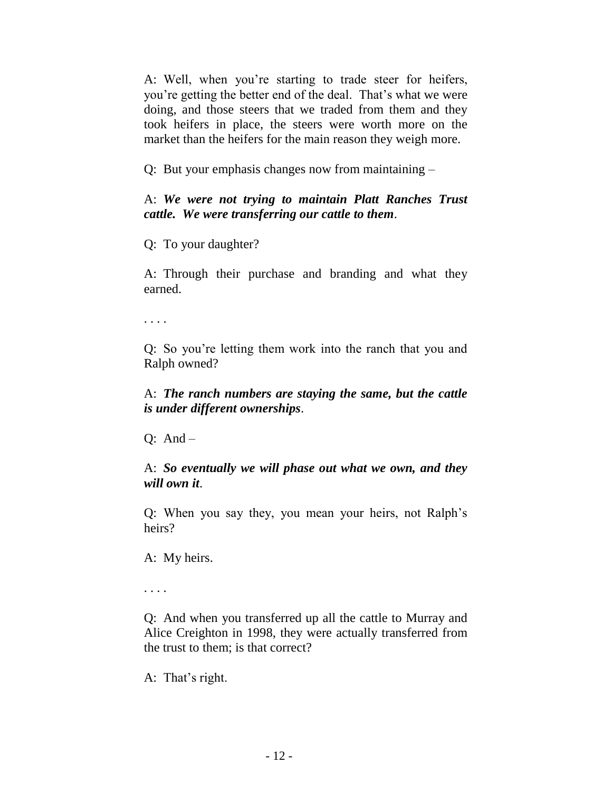A: Well, when you're starting to trade steer for heifers, you're getting the better end of the deal. That's what we were doing, and those steers that we traded from them and they took heifers in place, the steers were worth more on the market than the heifers for the main reason they weigh more.

Q: But your emphasis changes now from maintaining –

A: *We were not trying to maintain Platt Ranches Trust cattle. We were transferring our cattle to them*.

Q: To your daughter?

A: Through their purchase and branding and what they earned.

. . . .

Q: So you're letting them work into the ranch that you and Ralph owned?

A: *The ranch numbers are staying the same, but the cattle is under different ownerships*.

 $Q: And -$ 

A: *So eventually we will phase out what we own, and they will own it*.

Q: When you say they, you mean your heirs, not Ralph's heirs?

A: My heirs.

. . . .

Q: And when you transferred up all the cattle to Murray and Alice Creighton in 1998, they were actually transferred from the trust to them; is that correct?

A: That's right.